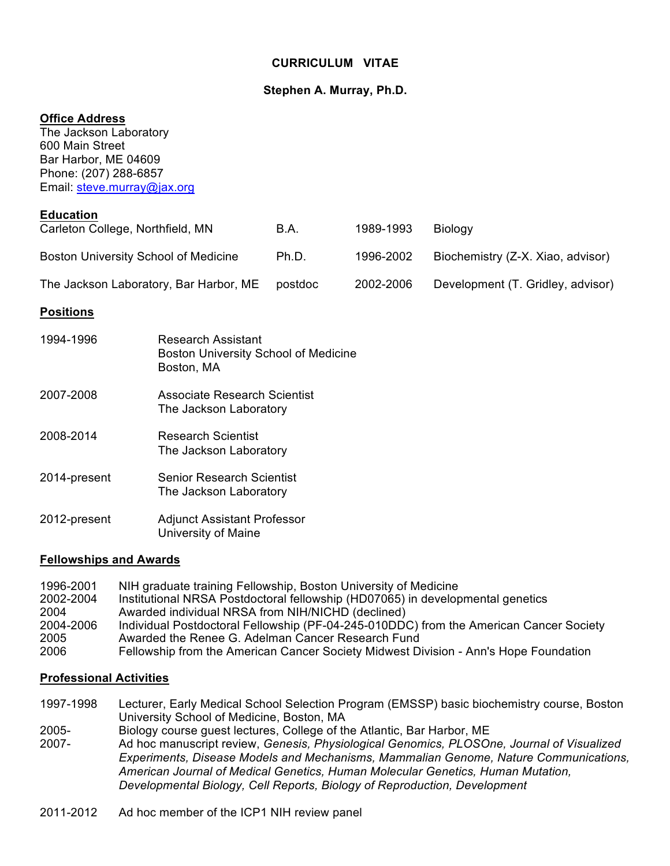## **CURRICULUM VITAE**

## **Stephen A. Murray, Ph.D.**

#### **Office Address**

The Jackson Laboratory 600 Main Street Bar Harbor, ME 04609 Phone: (207) 288-6857 Email: steve.murray@jax.org

#### **Education**

| Carleton College, Northfield, MN            | B.A.    | 1989-1993 | <b>Biology</b>                    |
|---------------------------------------------|---------|-----------|-----------------------------------|
| <b>Boston University School of Medicine</b> | Ph.D.   | 1996-2002 | Biochemistry (Z-X. Xiao, advisor) |
| The Jackson Laboratory, Bar Harbor, ME      | postdoc | 2002-2006 | Development (T. Gridley, advisor) |

#### **Positions**

| 1994-1996    | Research Assistant<br><b>Boston University School of Medicine</b><br>Boston, MA |
|--------------|---------------------------------------------------------------------------------|
| 2007-2008    | Associate Research Scientist<br>The Jackson Laboratory                          |
| 2008-2014    | <b>Research Scientist</b><br>The Jackson Laboratory                             |
| 2014-present | <b>Senior Research Scientist</b><br>The Jackson Laboratory                      |
| 2012-present | <b>Adjunct Assistant Professor</b><br>University of Maine                       |

#### **Fellowships and Awards**

1996-2001 NIH graduate training Fellowship, Boston University of Medicine 2002-2004 Institutional NRSA Postdoctoral fellowship (HD07065) in developmental genetics 2004 Awarded individual NRSA from NIH/NICHD (declined) 2004-2006 Individual Postdoctoral Fellowship (PF-04-245-010DDC) from the American Cancer Society 2005 Awarded the Renee G. Adelman Cancer Research Fund 2006 Fellowship from the American Cancer Society Midwest Division - Ann's Hope Foundation

#### **Professional Activities**

- 1997-1998 Lecturer, Early Medical School Selection Program (EMSSP) basic biochemistry course, Boston University School of Medicine, Boston, MA
- 
- 2005- Biology course guest lectures, College of the Atlantic, Bar Harbor, ME<br>2007- Ad hoc manuscript review, Genesis, Physiological Genomics. PLOSO 2007- Ad hoc manuscript review, *Genesis, Physiological Genomics, PLOSOne, Journal of Visualized Experiments, Disease Models and Mechanisms, Mammalian Genome, Nature Communications, American Journal of Medical Genetics, Human Molecular Genetics, Human Mutation, Developmental Biology, Cell Reports, Biology of Reproduction, Development*
- 2011-2012 Ad hoc member of the ICP1 NIH review panel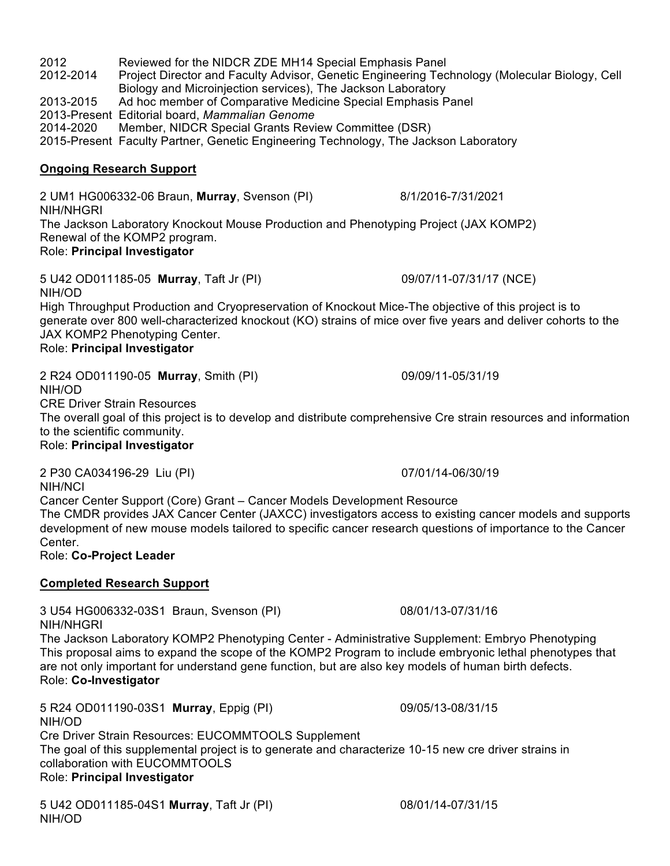2012 Reviewed for the NIDCR ZDE MH14 Special Emphasis Panel 2012-2014 Project Director and Faculty Advisor, Genetic Engineering Technology (Molecular Biology, Cell Biology and Microinjection services), The Jackson Laboratory 2013-2015 Ad hoc member of Comparative Medicine Special Emphasis Panel 2013-Present Editorial board, *Mammalian Genome* 2014-2020 Member, NIDCR Special Grants Review Committee (DSR) 2015-Present Faculty Partner, Genetic Engineering Technology, The Jackson Laboratory

## **Ongoing Research Support**

2 UM1 HG006332-06 Braun, **Murray**, Svenson (PI) 8/1/2016-7/31/2021 NIH/NHGRI The Jackson Laboratory Knockout Mouse Production and Phenotyping Project (JAX KOMP2) Renewal of the KOMP2 program. Role: **Principal Investigator**

5 U42 OD011185-05 **Murray**, Taft Jr (PI) 09/07/11-07/31/17 (NCE) NIH/OD

High Throughput Production and Cryopreservation of Knockout Mice-The objective of this project is to generate over 800 well-characterized knockout (KO) strains of mice over five years and deliver cohorts to the JAX KOMP2 Phenotyping Center.

## Role: **Principal Investigator**

2 R24 OD011190-05 **Murray**, Smith (PI) 09/09/11-05/31/19 NIH/OD

CRE Driver Strain Resources

The overall goal of this project is to develop and distribute comprehensive Cre strain resources and information to the scientific community.

#### Role: **Principal Investigator**

2 P30 CA034196-29 Liu (PI) 07/01/14-06/30/19 NIH/NCI

Cancer Center Support (Core) Grant – Cancer Models Development Resource The CMDR provides JAX Cancer Center (JAXCC) investigators access to existing cancer models and supports development of new mouse models tailored to specific cancer research questions of importance to the Cancer Center.

Role: **Co-Project Leader**

## **Completed Research Support**

3 U54 HG006332-03S1 Braun, Svenson (PI) 08/01/13-07/31/16 NIH/NHGRI

The Jackson Laboratory KOMP2 Phenotyping Center - Administrative Supplement: Embryo Phenotyping This proposal aims to expand the scope of the KOMP2 Program to include embryonic lethal phenotypes that are not only important for understand gene function, but are also key models of human birth defects. Role: **Co-Investigator**

5 R24 OD011190-03S1 **Murray**, Eppig (PI) 09/05/13-08/31/15 NIH/OD Cre Driver Strain Resources: EUCOMMTOOLS Supplement The goal of this supplemental project is to generate and characterize 10-15 new cre driver strains in collaboration with EUCOMMTOOLS Role: **Principal Investigator**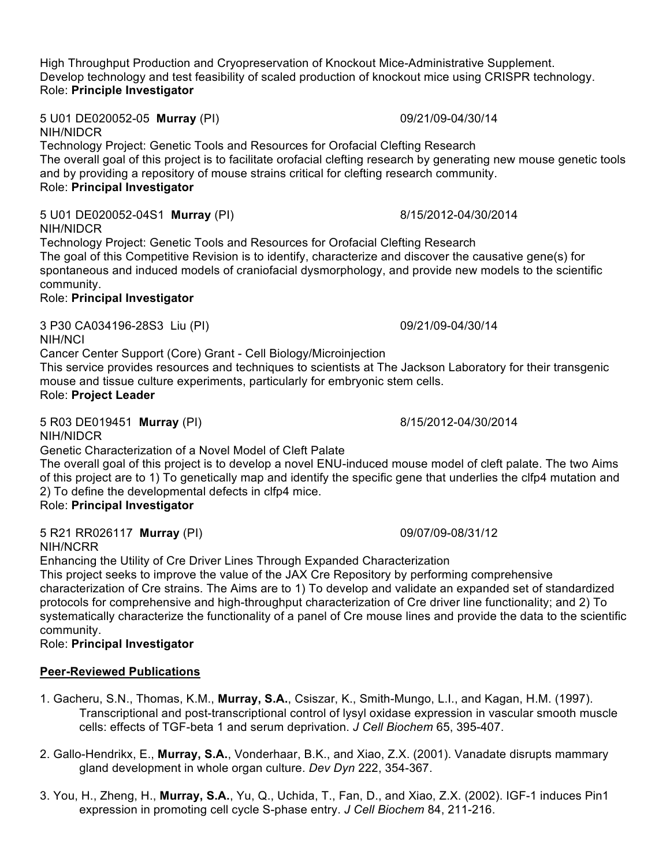High Throughput Production and Cryopreservation of Knockout Mice-Administrative Supplement. Develop technology and test feasibility of scaled production of knockout mice using CRISPR technology. Role: **Principle Investigator**

5 U01 DE020052-05 **Murray** (PI) 09/21/09-04/30/14 NIH/NIDCR

Technology Project: Genetic Tools and Resources for Orofacial Clefting Research The overall goal of this project is to facilitate orofacial clefting research by generating new mouse genetic tools and by providing a repository of mouse strains critical for clefting research community. Role: **Principal Investigator**

5 U01 DE020052-04S1 **Murray** (PI) 8/15/2012-04/30/2014 NIH/NIDCR

Technology Project: Genetic Tools and Resources for Orofacial Clefting Research The goal of this Competitive Revision is to identify, characterize and discover the causative gene(s) for spontaneous and induced models of craniofacial dysmorphology, and provide new models to the scientific community.

# Role: **Principal Investigator**

3 P30 CA034196-28S3 Liu (PI) 09/21/09-04/30/14 NIH/NCI

Cancer Center Support (Core) Grant - Cell Biology/Microinjection

This service provides resources and techniques to scientists at The Jackson Laboratory for their transgenic mouse and tissue culture experiments, particularly for embryonic stem cells. Role: **Project Leader**

5 R03 DE019451 **Murray** (PI) 8/15/2012-04/30/2014

NIH/NIDCR Genetic Characterization of a Novel Model of Cleft Palate

The overall goal of this project is to develop a novel ENU-induced mouse model of cleft palate. The two Aims of this project are to 1) To genetically map and identify the specific gene that underlies the clfp4 mutation and 2) To define the developmental defects in clfp4 mice.

Role: **Principal Investigator**

5 R21 RR026117 **Murray** (PI) 09/07/09-08/31/12 NIH/NCRR

Enhancing the Utility of Cre Driver Lines Through Expanded Characterization

This project seeks to improve the value of the JAX Cre Repository by performing comprehensive characterization of Cre strains. The Aims are to 1) To develop and validate an expanded set of standardized protocols for comprehensive and high-throughput characterization of Cre driver line functionality; and 2) To systematically characterize the functionality of a panel of Cre mouse lines and provide the data to the scientific community.

Role: **Principal Investigator**

# **Peer-Reviewed Publications**

- 1. Gacheru, S.N., Thomas, K.M., **Murray, S.A.**, Csiszar, K., Smith-Mungo, L.I., and Kagan, H.M. (1997). Transcriptional and post-transcriptional control of lysyl oxidase expression in vascular smooth muscle cells: effects of TGF-beta 1 and serum deprivation. *J Cell Biochem* 65, 395-407.
- 2. Gallo-Hendrikx, E., **Murray, S.A.**, Vonderhaar, B.K., and Xiao, Z.X. (2001). Vanadate disrupts mammary gland development in whole organ culture. *Dev Dyn* 222, 354-367.
- 3. You, H., Zheng, H., **Murray, S.A.**, Yu, Q., Uchida, T., Fan, D., and Xiao, Z.X. (2002). IGF-1 induces Pin1 expression in promoting cell cycle S-phase entry. *J Cell Biochem* 84, 211-216.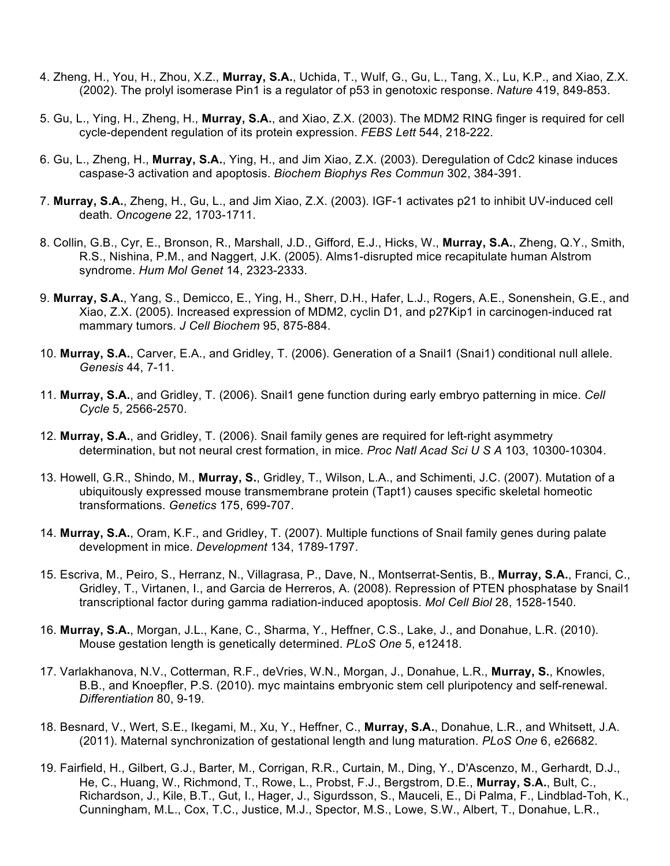- 4. Zheng, H., You, H., Zhou, X.Z., **Murray, S.A.**, Uchida, T., Wulf, G., Gu, L., Tang, X., Lu, K.P., and Xiao, Z.X. (2002). The prolyl isomerase Pin1 is a regulator of p53 in genotoxic response. *Nature* 419, 849-853.
- 5. Gu, L., Ying, H., Zheng, H., **Murray, S.A.**, and Xiao, Z.X. (2003). The MDM2 RING finger is required for cell cycle-dependent regulation of its protein expression. *FEBS Lett* 544, 218-222.
- 6. Gu, L., Zheng, H., **Murray, S.A.**, Ying, H., and Jim Xiao, Z.X. (2003). Deregulation of Cdc2 kinase induces caspase-3 activation and apoptosis. *Biochem Biophys Res Commun* 302, 384-391.
- 7. **Murray, S.A.**, Zheng, H., Gu, L., and Jim Xiao, Z.X. (2003). IGF-1 activates p21 to inhibit UV-induced cell death. *Oncogene* 22, 1703-1711.
- 8. Collin, G.B., Cyr, E., Bronson, R., Marshall, J.D., Gifford, E.J., Hicks, W., **Murray, S.A.**, Zheng, Q.Y., Smith, R.S., Nishina, P.M., and Naggert, J.K. (2005). Alms1-disrupted mice recapitulate human Alstrom syndrome. *Hum Mol Genet* 14, 2323-2333.
- 9. **Murray, S.A.**, Yang, S., Demicco, E., Ying, H., Sherr, D.H., Hafer, L.J., Rogers, A.E., Sonenshein, G.E., and Xiao, Z.X. (2005). Increased expression of MDM2, cyclin D1, and p27Kip1 in carcinogen-induced rat mammary tumors. *J Cell Biochem* 95, 875-884.
- 10. **Murray, S.A.**, Carver, E.A., and Gridley, T. (2006). Generation of a Snail1 (Snai1) conditional null allele. *Genesis* 44, 7-11.
- 11. **Murray, S.A.**, and Gridley, T. (2006). Snail1 gene function during early embryo patterning in mice. *Cell Cycle* 5, 2566-2570.
- 12. **Murray, S.A.**, and Gridley, T. (2006). Snail family genes are required for left-right asymmetry determination, but not neural crest formation, in mice. *Proc Natl Acad Sci U S A* 103, 10300-10304.
- 13. Howell, G.R., Shindo, M., **Murray, S.**, Gridley, T., Wilson, L.A., and Schimenti, J.C. (2007). Mutation of a ubiquitously expressed mouse transmembrane protein (Tapt1) causes specific skeletal homeotic transformations. *Genetics* 175, 699-707.
- 14. **Murray, S.A.**, Oram, K.F., and Gridley, T. (2007). Multiple functions of Snail family genes during palate development in mice. *Development* 134, 1789-1797.
- 15. Escriva, M., Peiro, S., Herranz, N., Villagrasa, P., Dave, N., Montserrat-Sentis, B., **Murray, S.A.**, Franci, C., Gridley, T., Virtanen, I., and Garcia de Herreros, A. (2008). Repression of PTEN phosphatase by Snail1 transcriptional factor during gamma radiation-induced apoptosis. *Mol Cell Biol* 28, 1528-1540.
- 16. **Murray, S.A.**, Morgan, J.L., Kane, C., Sharma, Y., Heffner, C.S., Lake, J., and Donahue, L.R. (2010). Mouse gestation length is genetically determined. *PLoS One* 5, e12418.
- 17. Varlakhanova, N.V., Cotterman, R.F., deVries, W.N., Morgan, J., Donahue, L.R., **Murray, S.**, Knowles, B.B., and Knoepfler, P.S. (2010). myc maintains embryonic stem cell pluripotency and self-renewal. *Differentiation* 80, 9-19.
- 18. Besnard, V., Wert, S.E., Ikegami, M., Xu, Y., Heffner, C., **Murray, S.A.**, Donahue, L.R., and Whitsett, J.A. (2011). Maternal synchronization of gestational length and lung maturation. *PLoS One* 6, e26682.
- 19. Fairfield, H., Gilbert, G.J., Barter, M., Corrigan, R.R., Curtain, M., Ding, Y., D'Ascenzo, M., Gerhardt, D.J., He, C., Huang, W., Richmond, T., Rowe, L., Probst, F.J., Bergstrom, D.E., **Murray, S.A.**, Bult, C., Richardson, J., Kile, B.T., Gut, I., Hager, J., Sigurdsson, S., Mauceli, E., Di Palma, F., Lindblad-Toh, K., Cunningham, M.L., Cox, T.C., Justice, M.J., Spector, M.S., Lowe, S.W., Albert, T., Donahue, L.R.,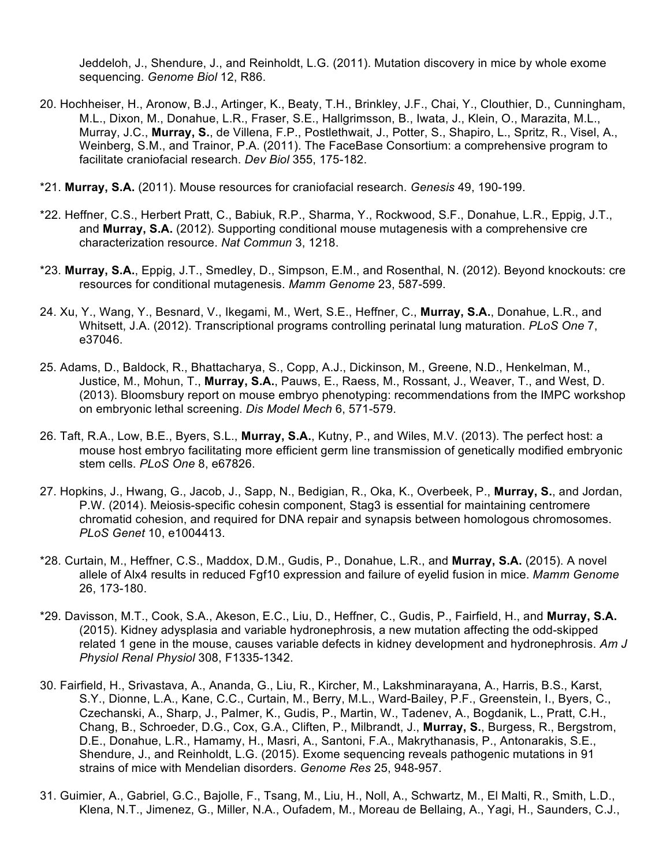Jeddeloh, J., Shendure, J., and Reinholdt, L.G. (2011). Mutation discovery in mice by whole exome sequencing. *Genome Biol* 12, R86.

- 20. Hochheiser, H., Aronow, B.J., Artinger, K., Beaty, T.H., Brinkley, J.F., Chai, Y., Clouthier, D., Cunningham, M.L., Dixon, M., Donahue, L.R., Fraser, S.E., Hallgrimsson, B., Iwata, J., Klein, O., Marazita, M.L., Murray, J.C., **Murray, S.**, de Villena, F.P., Postlethwait, J., Potter, S., Shapiro, L., Spritz, R., Visel, A., Weinberg, S.M., and Trainor, P.A. (2011). The FaceBase Consortium: a comprehensive program to facilitate craniofacial research. *Dev Biol* 355, 175-182.
- \*21. **Murray, S.A.** (2011). Mouse resources for craniofacial research. *Genesis* 49, 190-199.
- \*22. Heffner, C.S., Herbert Pratt, C., Babiuk, R.P., Sharma, Y., Rockwood, S.F., Donahue, L.R., Eppig, J.T., and **Murray, S.A.** (2012). Supporting conditional mouse mutagenesis with a comprehensive cre characterization resource. *Nat Commun* 3, 1218.
- \*23. **Murray, S.A.**, Eppig, J.T., Smedley, D., Simpson, E.M., and Rosenthal, N. (2012). Beyond knockouts: cre resources for conditional mutagenesis. *Mamm Genome* 23, 587-599.
- 24. Xu, Y., Wang, Y., Besnard, V., Ikegami, M., Wert, S.E., Heffner, C., **Murray, S.A.**, Donahue, L.R., and Whitsett, J.A. (2012). Transcriptional programs controlling perinatal lung maturation. *PLoS One* 7, e37046.
- 25. Adams, D., Baldock, R., Bhattacharya, S., Copp, A.J., Dickinson, M., Greene, N.D., Henkelman, M., Justice, M., Mohun, T., **Murray, S.A.**, Pauws, E., Raess, M., Rossant, J., Weaver, T., and West, D. (2013). Bloomsbury report on mouse embryo phenotyping: recommendations from the IMPC workshop on embryonic lethal screening. *Dis Model Mech* 6, 571-579.
- 26. Taft, R.A., Low, B.E., Byers, S.L., **Murray, S.A.**, Kutny, P., and Wiles, M.V. (2013). The perfect host: a mouse host embryo facilitating more efficient germ line transmission of genetically modified embryonic stem cells. *PLoS One* 8, e67826.
- 27. Hopkins, J., Hwang, G., Jacob, J., Sapp, N., Bedigian, R., Oka, K., Overbeek, P., **Murray, S.**, and Jordan, P.W. (2014). Meiosis-specific cohesin component, Stag3 is essential for maintaining centromere chromatid cohesion, and required for DNA repair and synapsis between homologous chromosomes. *PLoS Genet* 10, e1004413.
- \*28. Curtain, M., Heffner, C.S., Maddox, D.M., Gudis, P., Donahue, L.R., and **Murray, S.A.** (2015). A novel allele of Alx4 results in reduced Fgf10 expression and failure of eyelid fusion in mice. *Mamm Genome* 26, 173-180.
- \*29. Davisson, M.T., Cook, S.A., Akeson, E.C., Liu, D., Heffner, C., Gudis, P., Fairfield, H., and **Murray, S.A.** (2015). Kidney adysplasia and variable hydronephrosis, a new mutation affecting the odd-skipped related 1 gene in the mouse, causes variable defects in kidney development and hydronephrosis. *Am J Physiol Renal Physiol* 308, F1335-1342.
- 30. Fairfield, H., Srivastava, A., Ananda, G., Liu, R., Kircher, M., Lakshminarayana, A., Harris, B.S., Karst, S.Y., Dionne, L.A., Kane, C.C., Curtain, M., Berry, M.L., Ward-Bailey, P.F., Greenstein, I., Byers, C., Czechanski, A., Sharp, J., Palmer, K., Gudis, P., Martin, W., Tadenev, A., Bogdanik, L., Pratt, C.H., Chang, B., Schroeder, D.G., Cox, G.A., Cliften, P., Milbrandt, J., **Murray, S.**, Burgess, R., Bergstrom, D.E., Donahue, L.R., Hamamy, H., Masri, A., Santoni, F.A., Makrythanasis, P., Antonarakis, S.E., Shendure, J., and Reinholdt, L.G. (2015). Exome sequencing reveals pathogenic mutations in 91 strains of mice with Mendelian disorders. *Genome Res* 25, 948-957.
- 31. Guimier, A., Gabriel, G.C., Bajolle, F., Tsang, M., Liu, H., Noll, A., Schwartz, M., El Malti, R., Smith, L.D., Klena, N.T., Jimenez, G., Miller, N.A., Oufadem, M., Moreau de Bellaing, A., Yagi, H., Saunders, C.J.,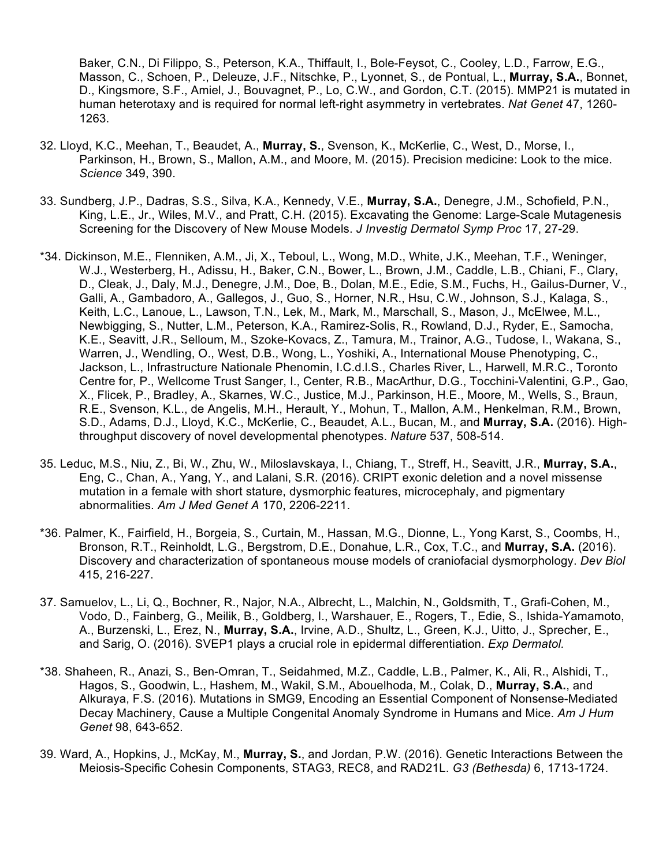Baker, C.N., Di Filippo, S., Peterson, K.A., Thiffault, I., Bole-Feysot, C., Cooley, L.D., Farrow, E.G., Masson, C., Schoen, P., Deleuze, J.F., Nitschke, P., Lyonnet, S., de Pontual, L., **Murray, S.A.**, Bonnet, D., Kingsmore, S.F., Amiel, J., Bouvagnet, P., Lo, C.W., and Gordon, C.T. (2015). MMP21 is mutated in human heterotaxy and is required for normal left-right asymmetry in vertebrates. *Nat Genet* 47, 1260- 1263.

- 32. Lloyd, K.C., Meehan, T., Beaudet, A., **Murray, S.**, Svenson, K., McKerlie, C., West, D., Morse, I., Parkinson, H., Brown, S., Mallon, A.M., and Moore, M. (2015). Precision medicine: Look to the mice. *Science* 349, 390.
- 33. Sundberg, J.P., Dadras, S.S., Silva, K.A., Kennedy, V.E., **Murray, S.A.**, Denegre, J.M., Schofield, P.N., King, L.E., Jr., Wiles, M.V., and Pratt, C.H. (2015). Excavating the Genome: Large-Scale Mutagenesis Screening for the Discovery of New Mouse Models. *J Investig Dermatol Symp Proc* 17, 27-29.
- \*34. Dickinson, M.E., Flenniken, A.M., Ji, X., Teboul, L., Wong, M.D., White, J.K., Meehan, T.F., Weninger, W.J., Westerberg, H., Adissu, H., Baker, C.N., Bower, L., Brown, J.M., Caddle, L.B., Chiani, F., Clary, D., Cleak, J., Daly, M.J., Denegre, J.M., Doe, B., Dolan, M.E., Edie, S.M., Fuchs, H., Gailus-Durner, V., Galli, A., Gambadoro, A., Gallegos, J., Guo, S., Horner, N.R., Hsu, C.W., Johnson, S.J., Kalaga, S., Keith, L.C., Lanoue, L., Lawson, T.N., Lek, M., Mark, M., Marschall, S., Mason, J., McElwee, M.L., Newbigging, S., Nutter, L.M., Peterson, K.A., Ramirez-Solis, R., Rowland, D.J., Ryder, E., Samocha, K.E., Seavitt, J.R., Selloum, M., Szoke-Kovacs, Z., Tamura, M., Trainor, A.G., Tudose, I., Wakana, S., Warren, J., Wendling, O., West, D.B., Wong, L., Yoshiki, A., International Mouse Phenotyping, C., Jackson, L., Infrastructure Nationale Phenomin, I.C.d.l.S., Charles River, L., Harwell, M.R.C., Toronto Centre for, P., Wellcome Trust Sanger, I., Center, R.B., MacArthur, D.G., Tocchini-Valentini, G.P., Gao, X., Flicek, P., Bradley, A., Skarnes, W.C., Justice, M.J., Parkinson, H.E., Moore, M., Wells, S., Braun, R.E., Svenson, K.L., de Angelis, M.H., Herault, Y., Mohun, T., Mallon, A.M., Henkelman, R.M., Brown, S.D., Adams, D.J., Lloyd, K.C., McKerlie, C., Beaudet, A.L., Bucan, M., and **Murray, S.A.** (2016). Highthroughput discovery of novel developmental phenotypes. *Nature* 537, 508-514.
- 35. Leduc, M.S., Niu, Z., Bi, W., Zhu, W., Miloslavskaya, I., Chiang, T., Streff, H., Seavitt, J.R., **Murray, S.A.**, Eng, C., Chan, A., Yang, Y., and Lalani, S.R. (2016). CRIPT exonic deletion and a novel missense mutation in a female with short stature, dysmorphic features, microcephaly, and pigmentary abnormalities. *Am J Med Genet A* 170, 2206-2211.
- \*36. Palmer, K., Fairfield, H., Borgeia, S., Curtain, M., Hassan, M.G., Dionne, L., Yong Karst, S., Coombs, H., Bronson, R.T., Reinholdt, L.G., Bergstrom, D.E., Donahue, L.R., Cox, T.C., and **Murray, S.A.** (2016). Discovery and characterization of spontaneous mouse models of craniofacial dysmorphology. *Dev Biol* 415, 216-227.
- 37. Samuelov, L., Li, Q., Bochner, R., Najor, N.A., Albrecht, L., Malchin, N., Goldsmith, T., Grafi-Cohen, M., Vodo, D., Fainberg, G., Meilik, B., Goldberg, I., Warshauer, E., Rogers, T., Edie, S., Ishida-Yamamoto, A., Burzenski, L., Erez, N., **Murray, S.A.**, Irvine, A.D., Shultz, L., Green, K.J., Uitto, J., Sprecher, E., and Sarig, O. (2016). SVEP1 plays a crucial role in epidermal differentiation. *Exp Dermatol.*
- \*38. Shaheen, R., Anazi, S., Ben-Omran, T., Seidahmed, M.Z., Caddle, L.B., Palmer, K., Ali, R., Alshidi, T., Hagos, S., Goodwin, L., Hashem, M., Wakil, S.M., Abouelhoda, M., Colak, D., **Murray, S.A.**, and Alkuraya, F.S. (2016). Mutations in SMG9, Encoding an Essential Component of Nonsense-Mediated Decay Machinery, Cause a Multiple Congenital Anomaly Syndrome in Humans and Mice. *Am J Hum Genet* 98, 643-652.
- 39. Ward, A., Hopkins, J., McKay, M., **Murray, S.**, and Jordan, P.W. (2016). Genetic Interactions Between the Meiosis-Specific Cohesin Components, STAG3, REC8, and RAD21L. *G3 (Bethesda)* 6, 1713-1724.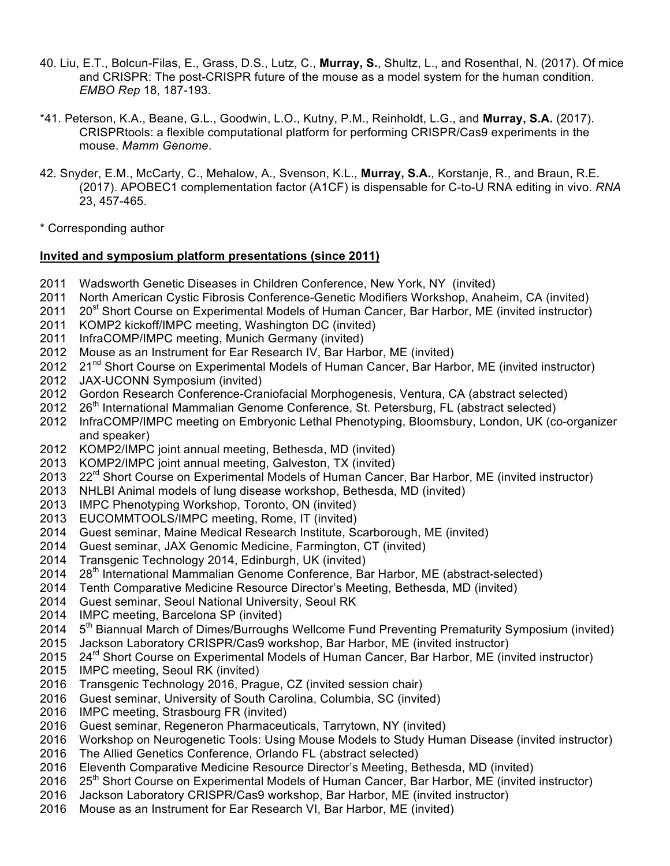- 40. Liu, E.T., Bolcun-Filas, E., Grass, D.S., Lutz, C., **Murray, S.**, Shultz, L., and Rosenthal, N. (2017). Of mice and CRISPR: The post-CRISPR future of the mouse as a model system for the human condition. *EMBO Rep* 18, 187-193.
- \*41. Peterson, K.A., Beane, G.L., Goodwin, L.O., Kutny, P.M., Reinholdt, L.G., and **Murray, S.A.** (2017). CRISPRtools: a flexible computational platform for performing CRISPR/Cas9 experiments in the mouse. *Mamm Genome*.
- 42. Snyder, E.M., McCarty, C., Mehalow, A., Svenson, K.L., **Murray, S.A.**, Korstanje, R., and Braun, R.E. (2017). APOBEC1 complementation factor (A1CF) is dispensable for C-to-U RNA editing in vivo. *RNA* 23, 457-465.
- \* Corresponding author

# **Invited and symposium platform presentations (since 2011)**

- 2011 Wadsworth Genetic Diseases in Children Conference, New York, NY (invited)
- 2011 North American Cystic Fibrosis Conference-Genetic Modifiers Workshop, Anaheim, CA (invited)<br>2011 20<sup>st</sup> Short Course on Experimental Models of Human Cancer, Bar Harbor, ME (invited instructor)
- 20<sup>st</sup> Short Course on Experimental Models of Human Cancer, Bar Harbor, ME (invited instructor)
- 2011 KOMP2 kickoff/IMPC meeting, Washington DC (invited)
- 2011 InfraCOMP/IMPC meeting, Munich Germany (invited)
- 2012 Mouse as an Instrument for Ear Research IV, Bar Harbor, ME (invited)
- 2012 21<sup>nd</sup> Short Course on Experimental Models of Human Cancer, Bar Harbor, ME (invited instructor)
- 2012 JAX-UCONN Symposium (invited)
- 2012 Gordon Research Conference-Craniofacial Morphogenesis, Ventura, CA (abstract selected)
- 2012 26<sup>th</sup> International Mammalian Genome Conference, St. Petersburg, FL (abstract selected)
- 2012 InfraCOMP/IMPC meeting on Embryonic Lethal Phenotyping, Bloomsbury, London, UK (co-organizer and speaker)
- 2012 KOMP2/IMPC joint annual meeting, Bethesda, MD (invited)
- 2013 KOMP2/IMPC joint annual meeting, Galveston, TX (invited)
- 2013 22<sup>rd</sup> Short Course on Experimental Models of Human Cancer, Bar Harbor, ME (invited instructor)
- 2013 NHLBI Animal models of lung disease workshop, Bethesda, MD (invited)
- 2013 IMPC Phenotyping Workshop, Toronto, ON (invited)
- 2013 EUCOMMTOOLS/IMPC meeting, Rome, IT (invited)
- 2014 Guest seminar, Maine Medical Research Institute, Scarborough, ME (invited)
- 2014 Guest seminar, JAX Genomic Medicine, Farmington, CT (invited)
- 2014 Transgenic Technology 2014, Edinburgh, UK (invited)
- 2014 28<sup>th</sup> International Mammalian Genome Conference, Bar Harbor, ME (abstract-selected)
- 2014 Tenth Comparative Medicine Resource Director's Meeting, Bethesda, MD (invited)
- 2014 Guest seminar, Seoul National University, Seoul RK
- 2014 IMPC meeting, Barcelona SP (invited)
- 2014 5<sup>th</sup> Biannual March of Dimes/Burroughs Wellcome Fund Preventing Prematurity Symposium (invited)
- 2015 Jackson Laboratory CRISPR/Cas9 workshop, Bar Harbor, ME (invited instructor)
- 2015 24<sup>rd</sup> Short Course on Experimental Models of Human Cancer, Bar Harbor, ME (invited instructor)
- 2015 IMPC meeting, Seoul RK (invited)
- 2016 Transgenic Technology 2016, Prague, CZ (invited session chair)
- 2016 Guest seminar, University of South Carolina, Columbia, SC (invited)
- 2016 IMPC meeting, Strasbourg FR (invited)
- 2016 Guest seminar, Regeneron Pharmaceuticals, Tarrytown, NY (invited)
- 2016 Workshop on Neurogenetic Tools: Using Mouse Models to Study Human Disease (invited instructor)
- 2016 The Allied Genetics Conference, Orlando FL (abstract selected)
- 2016 Eleventh Comparative Medicine Resource Director's Meeting, Bethesda, MD (invited)
- 2016 25<sup>th</sup> Short Course on Experimental Models of Human Cancer, Bar Harbor, ME (invited instructor)
- 2016 Jackson Laboratory CRISPR/Cas9 workshop, Bar Harbor, ME (invited instructor)
- 2016 Mouse as an Instrument for Ear Research VI, Bar Harbor, ME (invited)